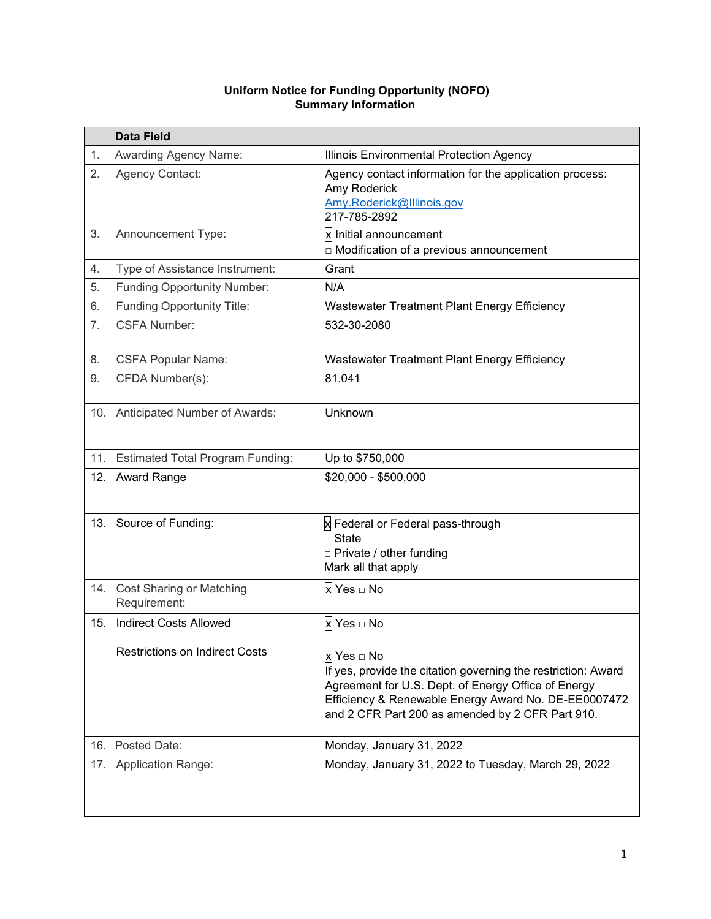|     | <b>Data Field</b>                                                      |                                                                                                                                                                                                                                                              |
|-----|------------------------------------------------------------------------|--------------------------------------------------------------------------------------------------------------------------------------------------------------------------------------------------------------------------------------------------------------|
| 1.  | <b>Awarding Agency Name:</b>                                           | Illinois Environmental Protection Agency                                                                                                                                                                                                                     |
| 2.  | <b>Agency Contact:</b>                                                 | Agency contact information for the application process:<br>Amy Roderick<br>Amy.Roderick@Illinois.gov<br>217-785-2892                                                                                                                                         |
| 3.  | Announcement Type:                                                     | <b>x</b> Initial announcement<br>□ Modification of a previous announcement                                                                                                                                                                                   |
| 4.  | Type of Assistance Instrument:                                         | Grant                                                                                                                                                                                                                                                        |
| 5.  | <b>Funding Opportunity Number:</b>                                     | N/A                                                                                                                                                                                                                                                          |
| 6.  | Funding Opportunity Title:                                             | Wastewater Treatment Plant Energy Efficiency                                                                                                                                                                                                                 |
| 7.  | <b>CSFA Number:</b>                                                    | 532-30-2080                                                                                                                                                                                                                                                  |
| 8.  | <b>CSFA Popular Name:</b>                                              | Wastewater Treatment Plant Energy Efficiency                                                                                                                                                                                                                 |
| 9.  | CFDA Number(s):                                                        | 81.041                                                                                                                                                                                                                                                       |
| 10. | Anticipated Number of Awards:                                          | Unknown                                                                                                                                                                                                                                                      |
| 11. | <b>Estimated Total Program Funding:</b>                                | Up to \$750,000                                                                                                                                                                                                                                              |
| 12. | Award Range                                                            | \$20,000 - \$500,000                                                                                                                                                                                                                                         |
| 13. | Source of Funding:                                                     | x Federal or Federal pass-through<br>$\Box$ State<br>□ Private / other funding<br>Mark all that apply                                                                                                                                                        |
| 14. | Cost Sharing or Matching<br>Requirement:                               | x Yes □ No                                                                                                                                                                                                                                                   |
| 15. | <b>Indirect Costs Allowed</b><br><b>Restrictions on Indirect Costs</b> | x Yes □ No<br>x Yes □ No<br>If yes, provide the citation governing the restriction: Award<br>Agreement for U.S. Dept. of Energy Office of Energy<br>Efficiency & Renewable Energy Award No. DE-EE0007472<br>and 2 CFR Part 200 as amended by 2 CFR Part 910. |
| 16. | Posted Date:                                                           | Monday, January 31, 2022                                                                                                                                                                                                                                     |
| 17. | <b>Application Range:</b>                                              | Monday, January 31, 2022 to Tuesday, March 29, 2022                                                                                                                                                                                                          |

#### **Uniform Notice for Funding Opportunity (NOFO) Summary Information**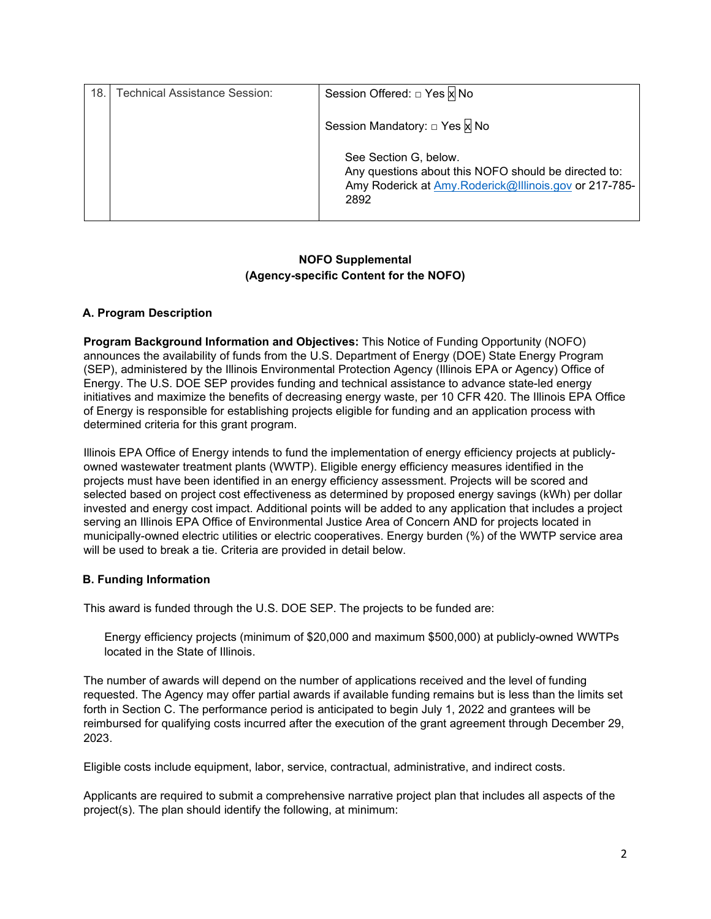| 18. | <b>Technical Assistance Session:</b> | Session Offered: □ Yes x No                                                                                                                    |
|-----|--------------------------------------|------------------------------------------------------------------------------------------------------------------------------------------------|
|     |                                      | Session Mandatory: □ Yes x No                                                                                                                  |
|     |                                      | See Section G, below.<br>Any questions about this NOFO should be directed to:<br>Amy Roderick at Amy.Roderick@Illinois.gov or 217-785-<br>2892 |

## **NOFO Supplemental (Agency-specific Content for the NOFO)**

## **A. Program Description**

**Program Background Information and Objectives:** This Notice of Funding Opportunity (NOFO) announces the availability of funds from the U.S. Department of Energy (DOE) State Energy Program (SEP), administered by the Illinois Environmental Protection Agency (Illinois EPA or Agency) Office of Energy. The U.S. DOE SEP provides funding and technical assistance to advance state-led energy initiatives and maximize the benefits of decreasing energy waste, per 10 CFR 420. The Illinois EPA Office of Energy is responsible for establishing projects eligible for funding and an application process with determined criteria for this grant program.

Illinois EPA Office of Energy intends to fund the implementation of energy efficiency projects at publiclyowned wastewater treatment plants (WWTP). Eligible energy efficiency measures identified in the projects must have been identified in an energy efficiency assessment. Projects will be scored and selected based on project cost effectiveness as determined by proposed energy savings (kWh) per dollar invested and energy cost impact. Additional points will be added to any application that includes a project serving an Illinois EPA Office of Environmental Justice Area of Concern AND for projects located in municipally-owned electric utilities or electric cooperatives. Energy burden (%) of the WWTP service area will be used to break a tie. Criteria are provided in detail below.

## **B. Funding Information**

This award is funded through the U.S. DOE SEP. The projects to be funded are:

Energy efficiency projects (minimum of \$20,000 and maximum \$500,000) at publicly-owned WWTPs located in the State of Illinois.

The number of awards will depend on the number of applications received and the level of funding requested. The Agency may offer partial awards if available funding remains but is less than the limits set forth in Section C. The performance period is anticipated to begin July 1, 2022 and grantees will be reimbursed for qualifying costs incurred after the execution of the grant agreement through December 29, 2023.

Eligible costs include equipment, labor, service, contractual, administrative, and indirect costs.

Applicants are required to submit a comprehensive narrative project plan that includes all aspects of the project(s). The plan should identify the following, at minimum: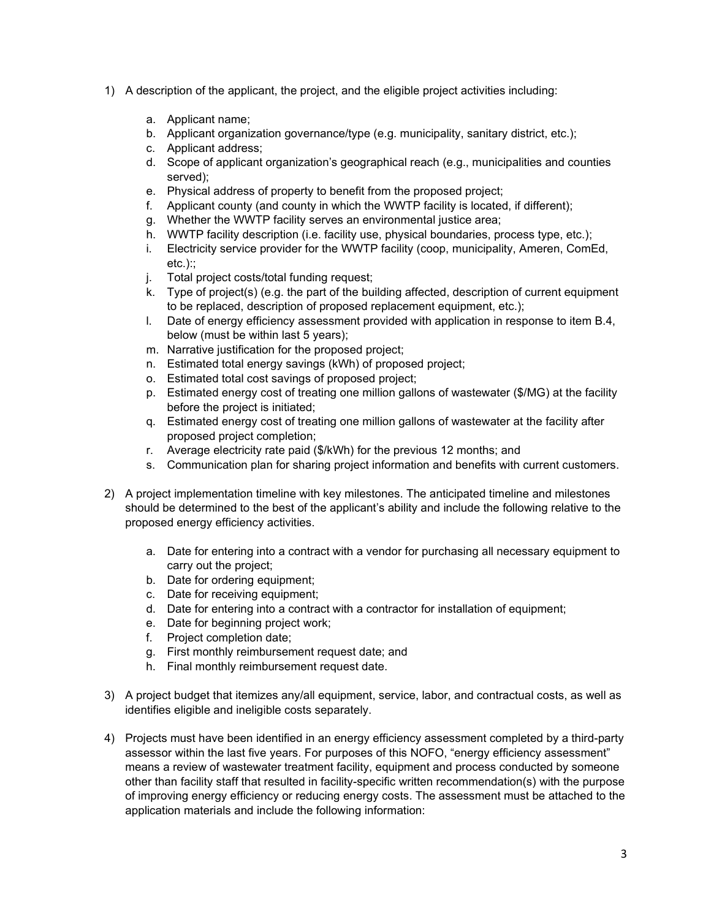- 1) A description of the applicant, the project, and the eligible project activities including:
	- a. Applicant name;
	- b. Applicant organization governance/type (e.g. municipality, sanitary district, etc.);
	- c. Applicant address;
	- d. Scope of applicant organization's geographical reach (e.g., municipalities and counties served);
	- e. Physical address of property to benefit from the proposed project;
	- f. Applicant county (and county in which the WWTP facility is located, if different);
	- g. Whether the WWTP facility serves an environmental justice area;
	- h. WWTP facility description (i.e. facility use, physical boundaries, process type, etc.);
	- i. Electricity service provider for the WWTP facility (coop, municipality, Ameren, ComEd,  $etc.$ )::
	- j. Total project costs/total funding request;
	- k. Type of project(s) (e.g. the part of the building affected, description of current equipment to be replaced, description of proposed replacement equipment, etc.);
	- l. Date of energy efficiency assessment provided with application in response to item B.4, below (must be within last 5 years);
	- m. Narrative justification for the proposed project;
	- n. Estimated total energy savings (kWh) of proposed project;
	- o. Estimated total cost savings of proposed project;
	- p. Estimated energy cost of treating one million gallons of wastewater (\$/MG) at the facility before the project is initiated;
	- q. Estimated energy cost of treating one million gallons of wastewater at the facility after proposed project completion;
	- r. Average electricity rate paid (\$/kWh) for the previous 12 months; and
	- s. Communication plan for sharing project information and benefits with current customers.
- 2) A project implementation timeline with key milestones. The anticipated timeline and milestones should be determined to the best of the applicant's ability and include the following relative to the proposed energy efficiency activities.
	- a. Date for entering into a contract with a vendor for purchasing all necessary equipment to carry out the project;
	- b. Date for ordering equipment;
	- c. Date for receiving equipment;
	- d. Date for entering into a contract with a contractor for installation of equipment;
	- e. Date for beginning project work;
	- f. Project completion date;
	- g. First monthly reimbursement request date; and
	- h. Final monthly reimbursement request date.
- 3) A project budget that itemizes any/all equipment, service, labor, and contractual costs, as well as identifies eligible and ineligible costs separately.
- 4) Projects must have been identified in an energy efficiency assessment completed by a third-party assessor within the last five years. For purposes of this NOFO, "energy efficiency assessment" means a review of wastewater treatment facility, equipment and process conducted by someone other than facility staff that resulted in facility-specific written recommendation(s) with the purpose of improving energy efficiency or reducing energy costs. The assessment must be attached to the application materials and include the following information: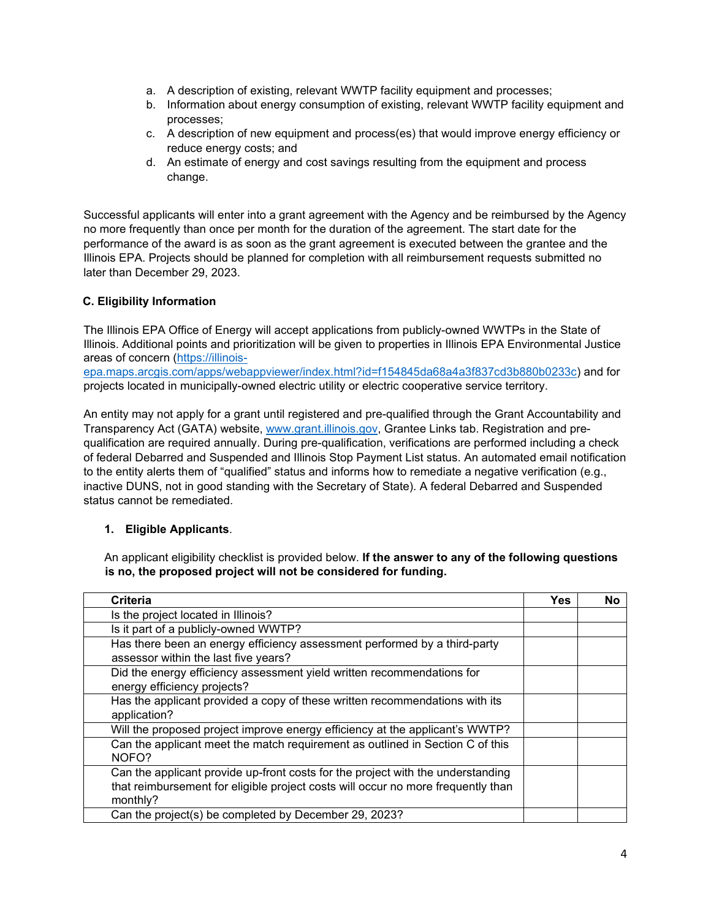- a. A description of existing, relevant WWTP facility equipment and processes;
- b. Information about energy consumption of existing, relevant WWTP facility equipment and processes;
- c. A description of new equipment and process(es) that would improve energy efficiency or reduce energy costs; and
- d. An estimate of energy and cost savings resulting from the equipment and process change.

Successful applicants will enter into a grant agreement with the Agency and be reimbursed by the Agency no more frequently than once per month for the duration of the agreement. The start date for the performance of the award is as soon as the grant agreement is executed between the grantee and the Illinois EPA. Projects should be planned for completion with all reimbursement requests submitted no later than December 29, 2023.

## **C. Eligibility Information**

The Illinois EPA Office of Energy will accept applications from publicly-owned WWTPs in the State of Illinois. Additional points and prioritization will be given to properties in Illinois EPA Environmental Justice areas of concern [\(https://illinois-](https://illinois-epa.maps.arcgis.com/apps/webappviewer/index.html?id=f154845da68a4a3f837cd3b880b0233c)

[epa.maps.arcgis.com/apps/webappviewer/index.html?id=f154845da68a4a3f837cd3b880b0233c\)](https://illinois-epa.maps.arcgis.com/apps/webappviewer/index.html?id=f154845da68a4a3f837cd3b880b0233c) and for projects located in municipally-owned electric utility or electric cooperative service territory.

An entity may not apply for a grant until registered and pre-qualified through the Grant Accountability and Transparency Act (GATA) website, [www.grant.illinois.gov,](http://www.grant.illinois.gov/) Grantee Links tab. Registration and prequalification are required annually. During pre-qualification, verifications are performed including a check of federal Debarred and Suspended and Illinois Stop Payment List status. An automated email notification to the entity alerts them of "qualified" status and informs how to remediate a negative verification (e.g., inactive DUNS, not in good standing with the Secretary of State). A federal Debarred and Suspended status cannot be remediated.

## **1. Eligible Applicants**.

An applicant eligibility checklist is provided below. **If the answer to any of the following questions is no, the proposed project will not be considered for funding.** 

| <b>Criteria</b>                                                                                                                                                                 | Yes | No |
|---------------------------------------------------------------------------------------------------------------------------------------------------------------------------------|-----|----|
| Is the project located in Illinois?                                                                                                                                             |     |    |
| Is it part of a publicly-owned WWTP?                                                                                                                                            |     |    |
| Has there been an energy efficiency assessment performed by a third-party<br>assessor within the last five years?                                                               |     |    |
| Did the energy efficiency assessment yield written recommendations for<br>energy efficiency projects?                                                                           |     |    |
| Has the applicant provided a copy of these written recommendations with its<br>application?                                                                                     |     |    |
| Will the proposed project improve energy efficiency at the applicant's WWTP?                                                                                                    |     |    |
| Can the applicant meet the match requirement as outlined in Section C of this<br>NOFO?                                                                                          |     |    |
| Can the applicant provide up-front costs for the project with the understanding<br>that reimbursement for eligible project costs will occur no more frequently than<br>monthly? |     |    |
| Can the project(s) be completed by December 29, 2023?                                                                                                                           |     |    |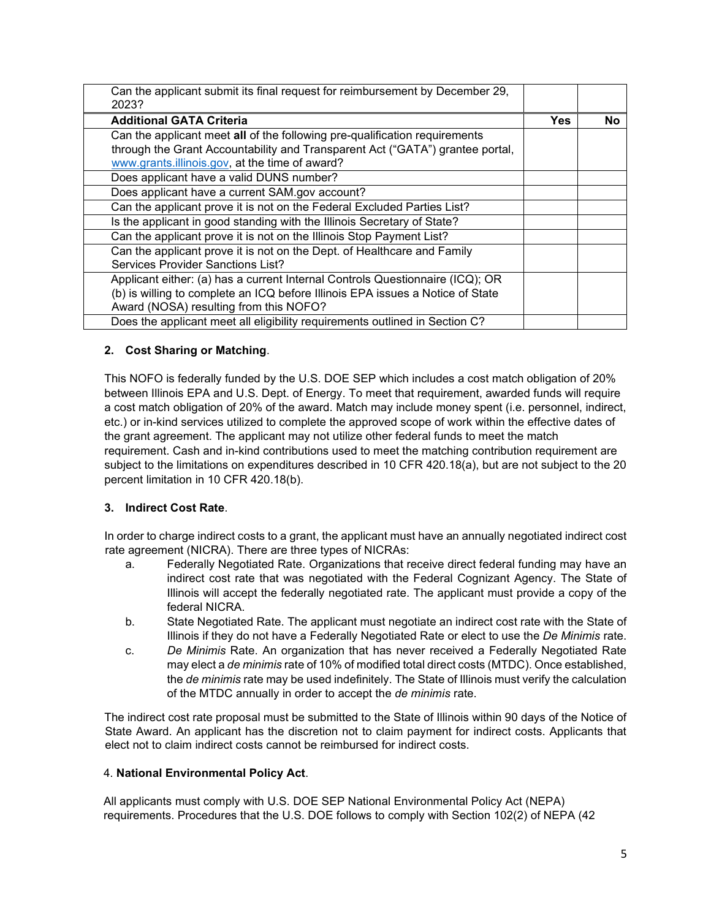| Can the applicant submit its final request for reimbursement by December 29,<br>2023?                                                                                                                         |     |    |
|---------------------------------------------------------------------------------------------------------------------------------------------------------------------------------------------------------------|-----|----|
| <b>Additional GATA Criteria</b>                                                                                                                                                                               | Yes | No |
| Can the applicant meet all of the following pre-qualification requirements<br>through the Grant Accountability and Transparent Act ("GATA") grantee portal,<br>www.grants.illinois.gov, at the time of award? |     |    |
| Does applicant have a valid DUNS number?                                                                                                                                                                      |     |    |
| Does applicant have a current SAM.gov account?                                                                                                                                                                |     |    |
| Can the applicant prove it is not on the Federal Excluded Parties List?                                                                                                                                       |     |    |
| Is the applicant in good standing with the Illinois Secretary of State?                                                                                                                                       |     |    |
| Can the applicant prove it is not on the Illinois Stop Payment List?                                                                                                                                          |     |    |
| Can the applicant prove it is not on the Dept. of Healthcare and Family<br>Services Provider Sanctions List?                                                                                                  |     |    |
| Applicant either: (a) has a current Internal Controls Questionnaire (ICQ); OR<br>(b) is willing to complete an ICQ before Illinois EPA issues a Notice of State<br>Award (NOSA) resulting from this NOFO?     |     |    |
| Does the applicant meet all eligibility requirements outlined in Section C?                                                                                                                                   |     |    |

# **2. Cost Sharing or Matching**.

This NOFO is federally funded by the U.S. DOE SEP which includes a cost match obligation of 20% between Illinois EPA and U.S. Dept. of Energy. To meet that requirement, awarded funds will require a cost match obligation of 20% of the award. Match may include money spent (i.e. personnel, indirect, etc.) or in-kind services utilized to complete the approved scope of work within the effective dates of the grant agreement. The applicant may not utilize other federal funds to meet the match requirement. Cash and in-kind contributions used to meet the matching contribution requirement are subject to the limitations on expenditures described in 10 CFR 420.18(a), but are not subject to the 20 percent limitation in 10 CFR 420.18(b).

## **3. Indirect Cost Rate**.

In order to charge indirect costs to a grant, the applicant must have an annually negotiated indirect cost rate agreement (NICRA). There are three types of NICRAs:

- a. Federally Negotiated Rate. Organizations that receive direct federal funding may have an indirect cost rate that was negotiated with the Federal Cognizant Agency. The State of Illinois will accept the federally negotiated rate. The applicant must provide a copy of the federal NICRA.
- b. State Negotiated Rate. The applicant must negotiate an indirect cost rate with the State of Illinois if they do not have a Federally Negotiated Rate or elect to use the *De Minimis* rate.
- c. *De Minimis* Rate. An organization that has never received a Federally Negotiated Rate may elect a *de minimis* rate of 10% of modified total direct costs (MTDC). Once established, the *de minimis* rate may be used indefinitely. The State of Illinois must verify the calculation of the MTDC annually in order to accept the *de minimis* rate.

The indirect cost rate proposal must be submitted to the State of Illinois within 90 days of the Notice of State Award. An applicant has the discretion not to claim payment for indirect costs. Applicants that elect not to claim indirect costs cannot be reimbursed for indirect costs.

## 4. **National Environmental Policy Act**.

All applicants must comply with U.S. DOE SEP National Environmental Policy Act (NEPA) requirements. Procedures that the U.S. DOE follows to comply with Section 102(2) of NEPA (42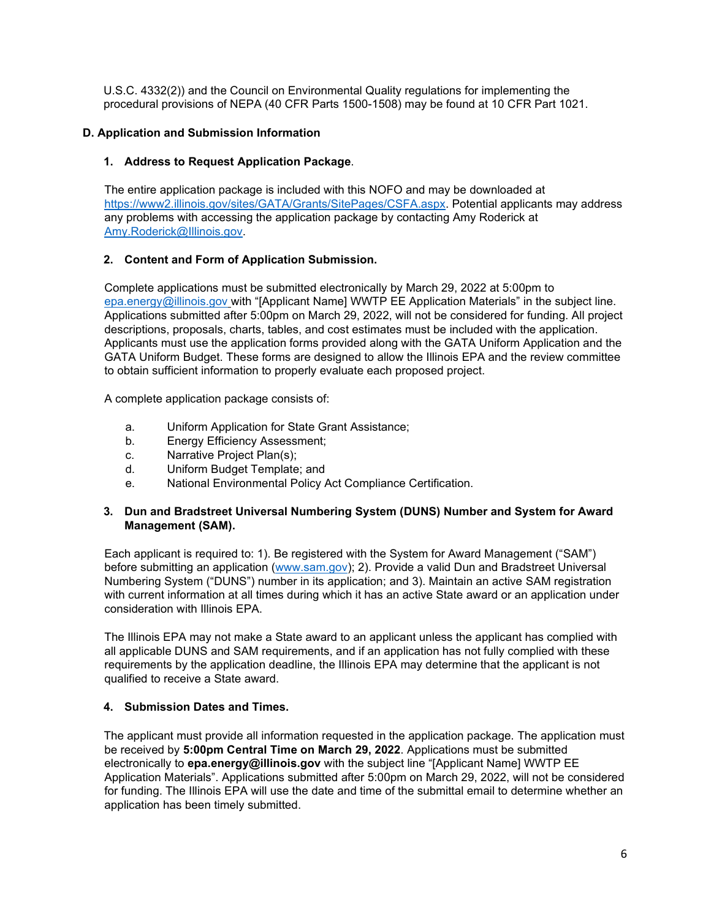U.S.C. 4332(2)) and the Council on Environmental Quality regulations for implementing the procedural provisions of NEPA (40 CFR Parts 1500-1508) may be found at 10 CFR Part 1021.

## **D. Application and Submission Information**

## **1. Address to Request Application Package**.

The entire application package is included with this NOFO and may be downloaded at [https://www2.illinois.gov/sites/GATA/Grants/SitePages/CSFA.aspx.](https://www2.illinois.gov/sites/GATA/Grants/SitePages/CSFA.aspx) Potential applicants may address any problems with accessing the application package by contacting Amy Roderick at [Amy.Roderick@Illinois.gov.](mailto:Amy.Roderick@Illinois.gov)

## **2. Content and Form of Application Submission.**

Complete applications must be submitted electronically by March 29, 2022 at 5:00pm to [epa.energy@illinois.gov](mailto:epa.energy@illinois.gov) with "[Applicant Name] WWTP EE Application Materials" in the subject line. Applications submitted after 5:00pm on March 29, 2022, will not be considered for funding. All project descriptions, proposals, charts, tables, and cost estimates must be included with the application. Applicants must use the application forms provided along with the GATA Uniform Application and the GATA Uniform Budget. These forms are designed to allow the Illinois EPA and the review committee to obtain sufficient information to properly evaluate each proposed project.

A complete application package consists of:

- a. Uniform Application for State Grant Assistance;
- b. Energy Efficiency Assessment;
- c. Narrative Project Plan(s);
- d. Uniform Budget Template; and
- e. National Environmental Policy Act Compliance Certification.

#### **3. Dun and Bradstreet Universal Numbering System (DUNS) Number and System for Award Management (SAM).**

Each applicant is required to: 1). Be registered with the System for Award Management ("SAM") before submitting an application [\(www.sam.gov\)](http://www.sam.gov/); 2). Provide a valid Dun and Bradstreet Universal Numbering System ("DUNS") number in its application; and 3). Maintain an active SAM registration with current information at all times during which it has an active State award or an application under consideration with Illinois EPA.

The Illinois EPA may not make a State award to an applicant unless the applicant has complied with all applicable DUNS and SAM requirements, and if an application has not fully complied with these requirements by the application deadline, the Illinois EPA may determine that the applicant is not qualified to receive a State award.

## **4. Submission Dates and Times.**

The applicant must provide all information requested in the application package. The application must be received by **5:00pm Central Time on March 29, 2022**. Applications must be submitted electronically to **epa.energy@illinois.gov** with the subject line "[Applicant Name] WWTP EE Application Materials". Applications submitted after 5:00pm on March 29, 2022, will not be considered for funding. The Illinois EPA will use the date and time of the submittal email to determine whether an application has been timely submitted.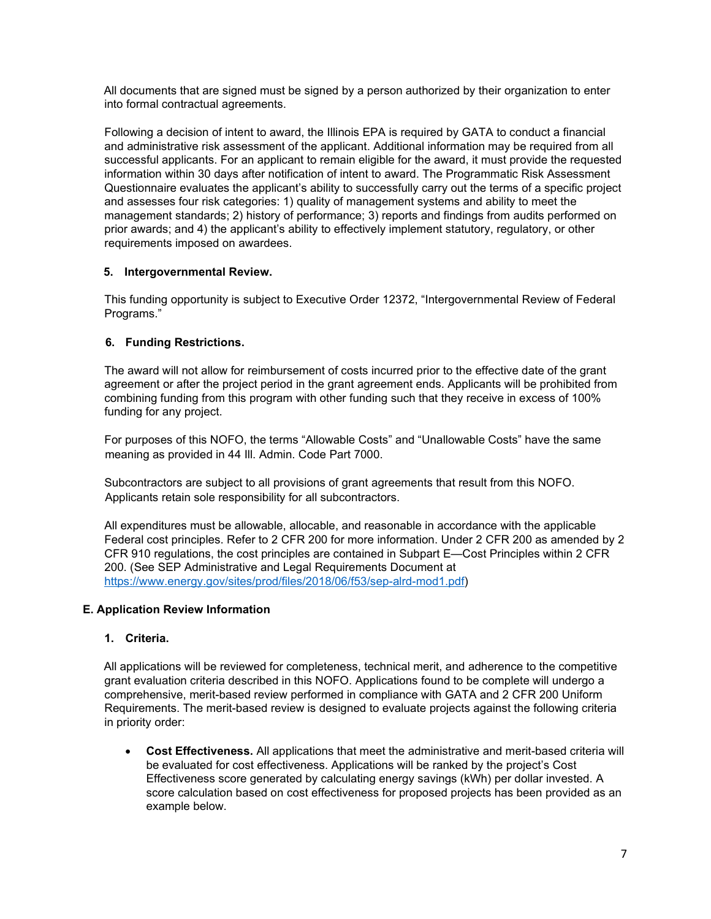All documents that are signed must be signed by a person authorized by their organization to enter into formal contractual agreements.

Following a decision of intent to award, the Illinois EPA is required by GATA to conduct a financial and administrative risk assessment of the applicant. Additional information may be required from all successful applicants. For an applicant to remain eligible for the award, it must provide the requested information within 30 days after notification of intent to award. The Programmatic Risk Assessment Questionnaire evaluates the applicant's ability to successfully carry out the terms of a specific project and assesses four risk categories: 1) quality of management systems and ability to meet the management standards; 2) history of performance; 3) reports and findings from audits performed on prior awards; and 4) the applicant's ability to effectively implement statutory, regulatory, or other requirements imposed on awardees.

## **5. Intergovernmental Review.**

This funding opportunity is subject to Executive Order 12372, "Intergovernmental Review of Federal Programs."

## **6. Funding Restrictions.**

The award will not allow for reimbursement of costs incurred prior to the effective date of the grant agreement or after the project period in the grant agreement ends. Applicants will be prohibited from combining funding from this program with other funding such that they receive in excess of 100% funding for any project.

For purposes of this NOFO, the terms "Allowable Costs" and "Unallowable Costs" have the same meaning as provided in 44 Ill. Admin. Code Part 7000.

Subcontractors are subject to all provisions of grant agreements that result from this NOFO. Applicants retain sole responsibility for all subcontractors.

All expenditures must be allowable, allocable, and reasonable in accordance with the applicable Federal cost principles. Refer to 2 CFR 200 for more information. Under 2 CFR 200 as amended by 2 CFR 910 regulations, the cost principles are contained in Subpart E—Cost Principles within 2 CFR 200. (See SEP Administrative and Legal Requirements Document at [https://www.energy.gov/sites/prod/files/2018/06/f53/sep-alrd-mod1.pdf\)](https://www.energy.gov/sites/prod/files/2018/06/f53/sep-alrd-mod1.pdf)

## **E. Application Review Information**

## **1. Criteria.**

All applications will be reviewed for completeness, technical merit, and adherence to the competitive grant evaluation criteria described in this NOFO. Applications found to be complete will undergo a comprehensive, merit-based review performed in compliance with GATA and 2 CFR 200 Uniform Requirements. The merit-based review is designed to evaluate projects against the following criteria in priority order:

• **Cost Effectiveness.** All applications that meet the administrative and merit-based criteria will be evaluated for cost effectiveness. Applications will be ranked by the project's Cost Effectiveness score generated by calculating energy savings (kWh) per dollar invested. A score calculation based on cost effectiveness for proposed projects has been provided as an example below.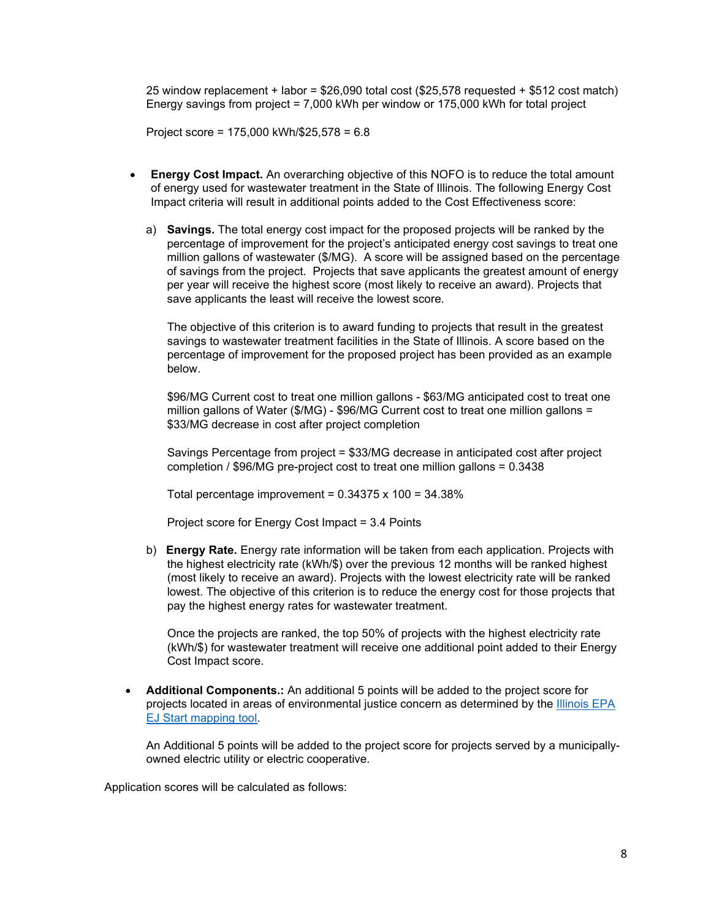25 window replacement + labor = \$26,090 total cost (\$25,578 requested + \$512 cost match) Energy savings from project = 7,000 kWh per window or 175,000 kWh for total project

Project score = 175,000 kWh/\$25,578 = 6.8

- **Energy Cost Impact.** An overarching objective of this NOFO is to reduce the total amount of energy used for wastewater treatment in the State of Illinois. The following Energy Cost Impact criteria will result in additional points added to the Cost Effectiveness score:
	- a) **Savings.** The total energy cost impact for the proposed projects will be ranked by the percentage of improvement for the project's anticipated energy cost savings to treat one million gallons of wastewater (\$/MG). A score will be assigned based on the percentage of savings from the project. Projects that save applicants the greatest amount of energy per year will receive the highest score (most likely to receive an award). Projects that save applicants the least will receive the lowest score.

The objective of this criterion is to award funding to projects that result in the greatest savings to wastewater treatment facilities in the State of Illinois. A score based on the percentage of improvement for the proposed project has been provided as an example below.

\$96/MG Current cost to treat one million gallons - \$63/MG anticipated cost to treat one million gallons of Water (\$/MG) - \$96/MG Current cost to treat one million gallons = \$33/MG decrease in cost after project completion

Savings Percentage from project = \$33/MG decrease in anticipated cost after project completion / \$96/MG pre-project cost to treat one million gallons = 0.3438

Total percentage improvement =  $0.34375 \times 100 = 34.38\%$ 

Project score for Energy Cost Impact = 3.4 Points

b) **Energy Rate.** Energy rate information will be taken from each application. Projects with the highest electricity rate (kWh/\$) over the previous 12 months will be ranked highest (most likely to receive an award). Projects with the lowest electricity rate will be ranked lowest. The objective of this criterion is to reduce the energy cost for those projects that pay the highest energy rates for wastewater treatment.

Once the projects are ranked, the top 50% of projects with the highest electricity rate (kWh/\$) for wastewater treatment will receive one additional point added to their Energy Cost Impact score.

• **Additional Components.:** An additional 5 points will be added to the project score for projects located in areas of environmental justice concern as determined by the [Illinois EPA](https://illinois-epa.maps.arcgis.com/apps/webappviewer/index.html?id=f154845da68a4a3f837cd3b880b0233c)  [EJ Start mapping tool.](https://illinois-epa.maps.arcgis.com/apps/webappviewer/index.html?id=f154845da68a4a3f837cd3b880b0233c)

An Additional 5 points will be added to the project score for projects served by a municipallyowned electric utility or electric cooperative.

Application scores will be calculated as follows: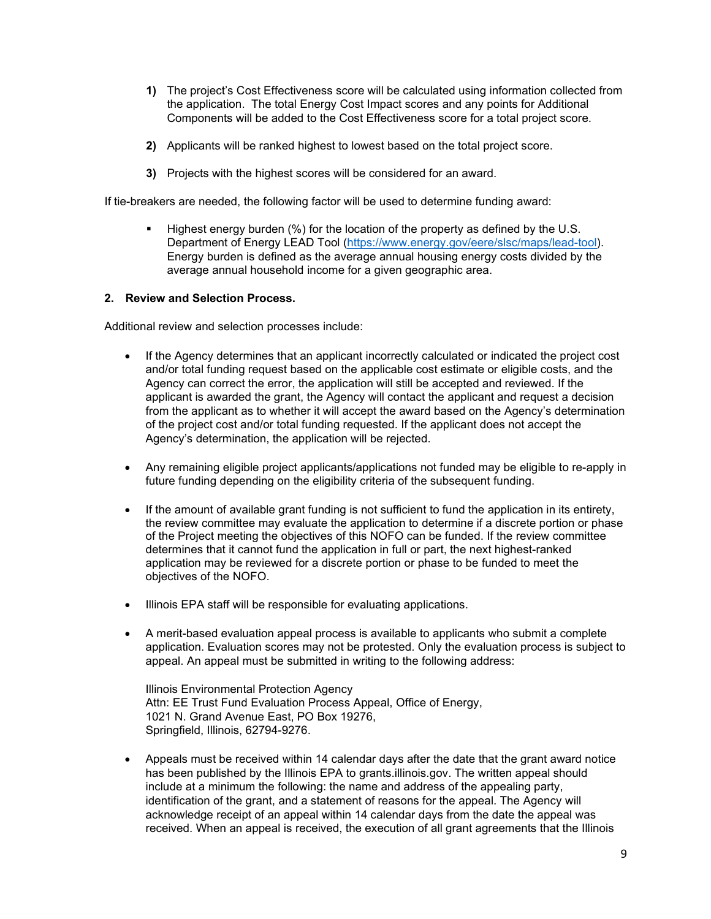- **1)** The project's Cost Effectiveness score will be calculated using information collected from the application. The total Energy Cost Impact scores and any points for Additional Components will be added to the Cost Effectiveness score for a total project score.
- **2)** Applicants will be ranked highest to lowest based on the total project score.
- **3)** Projects with the highest scores will be considered for an award.

If tie-breakers are needed, the following factor will be used to determine funding award:

Highest energy burden (%) for the location of the property as defined by the U.S. Department of Energy LEAD Tool [\(https://www.energy.gov/eere/slsc/maps/lead-tool\)](https://www.energy.gov/eere/slsc/maps/lead-tool). Energy burden is defined as the average annual housing energy costs divided by the average annual household income for a given geographic area.

#### **2. Review and Selection Process.**

Additional review and selection processes include:

- If the Agency determines that an applicant incorrectly calculated or indicated the project cost and/or total funding request based on the applicable cost estimate or eligible costs, and the Agency can correct the error, the application will still be accepted and reviewed. If the applicant is awarded the grant, the Agency will contact the applicant and request a decision from the applicant as to whether it will accept the award based on the Agency's determination of the project cost and/or total funding requested. If the applicant does not accept the Agency's determination, the application will be rejected.
- Any remaining eligible project applicants/applications not funded may be eligible to re-apply in future funding depending on the eligibility criteria of the subsequent funding.
- If the amount of available grant funding is not sufficient to fund the application in its entirety, the review committee may evaluate the application to determine if a discrete portion or phase of the Project meeting the objectives of this NOFO can be funded. If the review committee determines that it cannot fund the application in full or part, the next highest-ranked application may be reviewed for a discrete portion or phase to be funded to meet the objectives of the NOFO.
- Illinois EPA staff will be responsible for evaluating applications.
- A merit-based evaluation appeal process is available to applicants who submit a complete application. Evaluation scores may not be protested. Only the evaluation process is subject to appeal. An appeal must be submitted in writing to the following address:

Illinois Environmental Protection Agency Attn: EE Trust Fund Evaluation Process Appeal, Office of Energy, 1021 N. Grand Avenue East, PO Box 19276, Springfield, Illinois, 62794-9276.

• Appeals must be received within 14 calendar days after the date that the grant award notice has been published by the Illinois EPA to grants.illinois.gov. The written appeal should include at a minimum the following: the name and address of the appealing party, identification of the grant, and a statement of reasons for the appeal. The Agency will acknowledge receipt of an appeal within 14 calendar days from the date the appeal was received. When an appeal is received, the execution of all grant agreements that the Illinois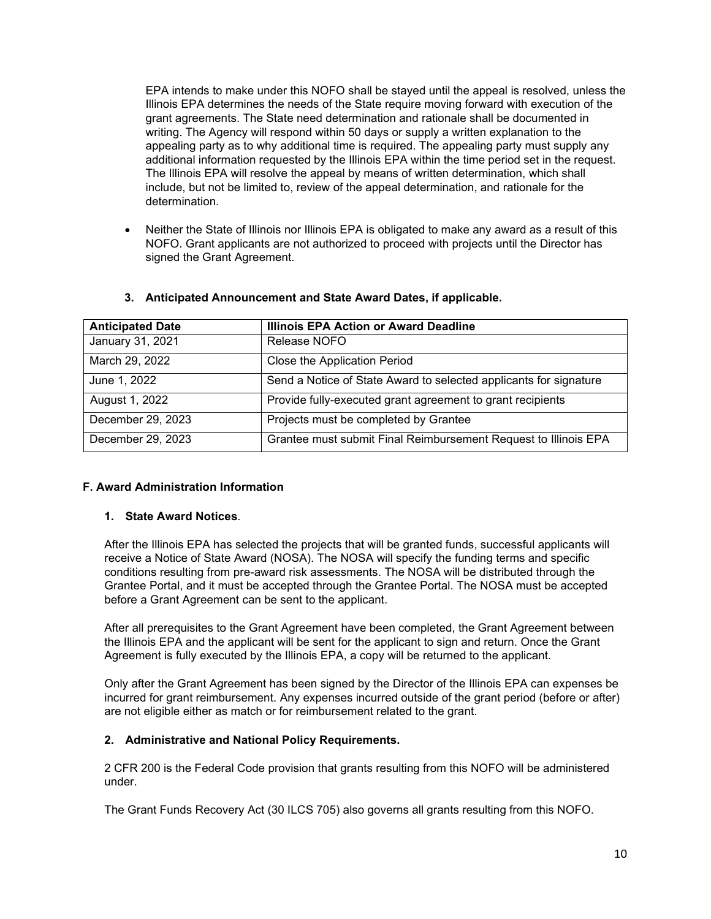EPA intends to make under this NOFO shall be stayed until the appeal is resolved, unless the Illinois EPA determines the needs of the State require moving forward with execution of the grant agreements. The State need determination and rationale shall be documented in writing. The Agency will respond within 50 days or supply a written explanation to the appealing party as to why additional time is required. The appealing party must supply any additional information requested by the Illinois EPA within the time period set in the request. The Illinois EPA will resolve the appeal by means of written determination, which shall include, but not be limited to, review of the appeal determination, and rationale for the determination.

• Neither the State of Illinois nor Illinois EPA is obligated to make any award as a result of this NOFO. Grant applicants are not authorized to proceed with projects until the Director has signed the Grant Agreement.

| <b>Anticipated Date</b> | <b>Illinois EPA Action or Award Deadline</b>                      |
|-------------------------|-------------------------------------------------------------------|
| January 31, 2021        | Release NOFO                                                      |
| March 29, 2022          | Close the Application Period                                      |
| June 1, 2022            | Send a Notice of State Award to selected applicants for signature |
| August 1, 2022          | Provide fully-executed grant agreement to grant recipients        |
| December 29, 2023       | Projects must be completed by Grantee                             |
| December 29, 2023       | Grantee must submit Final Reimbursement Request to Illinois EPA   |

#### **3. Anticipated Announcement and State Award Dates, if applicable.**

## **F. Award Administration Information**

#### **1. State Award Notices**.

After the Illinois EPA has selected the projects that will be granted funds, successful applicants will receive a Notice of State Award (NOSA). The NOSA will specify the funding terms and specific conditions resulting from pre-award risk assessments. The NOSA will be distributed through the Grantee Portal, and it must be accepted through the Grantee Portal. The NOSA must be accepted before a Grant Agreement can be sent to the applicant.

After all prerequisites to the Grant Agreement have been completed, the Grant Agreement between the Illinois EPA and the applicant will be sent for the applicant to sign and return. Once the Grant Agreement is fully executed by the Illinois EPA, a copy will be returned to the applicant.

Only after the Grant Agreement has been signed by the Director of the Illinois EPA can expenses be incurred for grant reimbursement. Any expenses incurred outside of the grant period (before or after) are not eligible either as match or for reimbursement related to the grant.

## **2. Administrative and National Policy Requirements.**

2 CFR 200 is the Federal Code provision that grants resulting from this NOFO will be administered under.

The Grant Funds Recovery Act (30 ILCS 705) also governs all grants resulting from this NOFO.